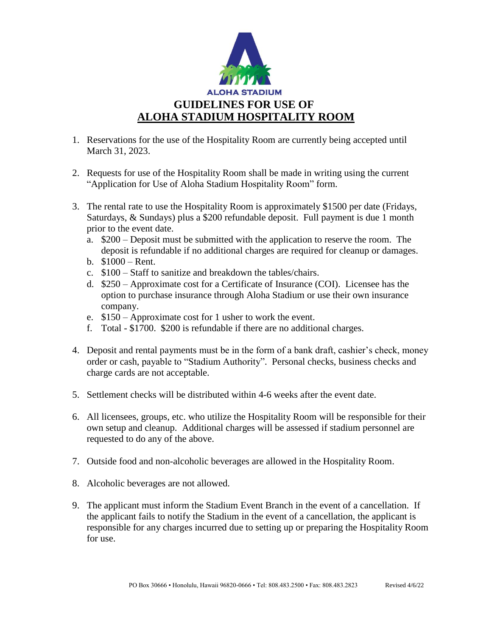

- 1. Reservations for the use of the Hospitality Room are currently being accepted until March 31, 2023.
- 2. Requests for use of the Hospitality Room shall be made in writing using the current "Application for Use of Aloha Stadium Hospitality Room" form.
- 3. The rental rate to use the Hospitality Room is approximately \$1500 per date (Fridays, Saturdays, & Sundays) plus a \$200 refundable deposit. Full payment is due 1 month prior to the event date.
	- a. \$200 Deposit must be submitted with the application to reserve the room. The deposit is refundable if no additional charges are required for cleanup or damages.
	- b. \$1000 Rent.
	- c. \$100 Staff to sanitize and breakdown the tables/chairs.
	- d. \$250 Approximate cost for a Certificate of Insurance (COI). Licensee has the option to purchase insurance through Aloha Stadium or use their own insurance company.
	- e. \$150 Approximate cost for 1 usher to work the event.
	- f. Total \$1700. \$200 is refundable if there are no additional charges.
- 4. Deposit and rental payments must be in the form of a bank draft, cashier's check, money order or cash, payable to "Stadium Authority". Personal checks, business checks and charge cards are not acceptable.
- 5. Settlement checks will be distributed within 4-6 weeks after the event date.
- 6. All licensees, groups, etc. who utilize the Hospitality Room will be responsible for their own setup and cleanup. Additional charges will be assessed if stadium personnel are requested to do any of the above.
- 7. Outside food and non-alcoholic beverages are allowed in the Hospitality Room.
- 8. Alcoholic beverages are not allowed.
- 9. The applicant must inform the Stadium Event Branch in the event of a cancellation. If the applicant fails to notify the Stadium in the event of a cancellation, the applicant is responsible for any charges incurred due to setting up or preparing the Hospitality Room for use.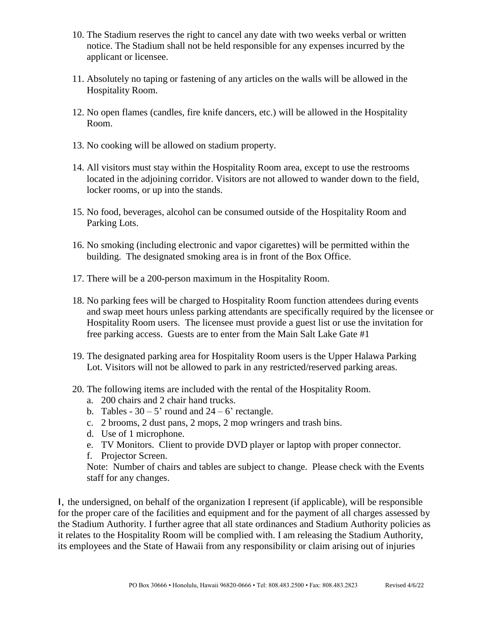- 10. The Stadium reserves the right to cancel any date with two weeks verbal or written notice. The Stadium shall not be held responsible for any expenses incurred by the applicant or licensee.
- 11. Absolutely no taping or fastening of any articles on the walls will be allowed in the Hospitality Room.
- 12. No open flames (candles, fire knife dancers, etc.) will be allowed in the Hospitality Room.
- 13. No cooking will be allowed on stadium property.
- 14. All visitors must stay within the Hospitality Room area, except to use the restrooms located in the adjoining corridor. Visitors are not allowed to wander down to the field, locker rooms, or up into the stands.
- 15. No food, beverages, alcohol can be consumed outside of the Hospitality Room and Parking Lots.
- 16. No smoking (including electronic and vapor cigarettes) will be permitted within the building. The designated smoking area is in front of the Box Office.
- 17. There will be a 200-person maximum in the Hospitality Room.
- 18. No parking fees will be charged to Hospitality Room function attendees during events and swap meet hours unless parking attendants are specifically required by the licensee or Hospitality Room users. The licensee must provide a guest list or use the invitation for free parking access. Guests are to enter from the Main Salt Lake Gate #1
- 19. The designated parking area for Hospitality Room users is the Upper Halawa Parking Lot. Visitors will not be allowed to park in any restricted/reserved parking areas.
- 20. The following items are included with the rental of the Hospitality Room.
	- a. 200 chairs and 2 chair hand trucks.
	- b. Tables  $30 5'$  round and  $24 6'$  rectangle.
	- c. 2 brooms, 2 dust pans, 2 mops, 2 mop wringers and trash bins.
	- d. Use of 1 microphone.
	- e. TV Monitors. Client to provide DVD player or laptop with proper connector.
	- f. Projector Screen.

Note: Number of chairs and tables are subject to change. Please check with the Events staff for any changes.

I, the undersigned, on behalf of the organization I represent (if applicable), will be responsible for the proper care of the facilities and equipment and for the payment of all charges assessed by the Stadium Authority. I further agree that all state ordinances and Stadium Authority policies as it relates to the Hospitality Room will be complied with. I am releasing the Stadium Authority, its employees and the State of Hawaii from any responsibility or claim arising out of injuries